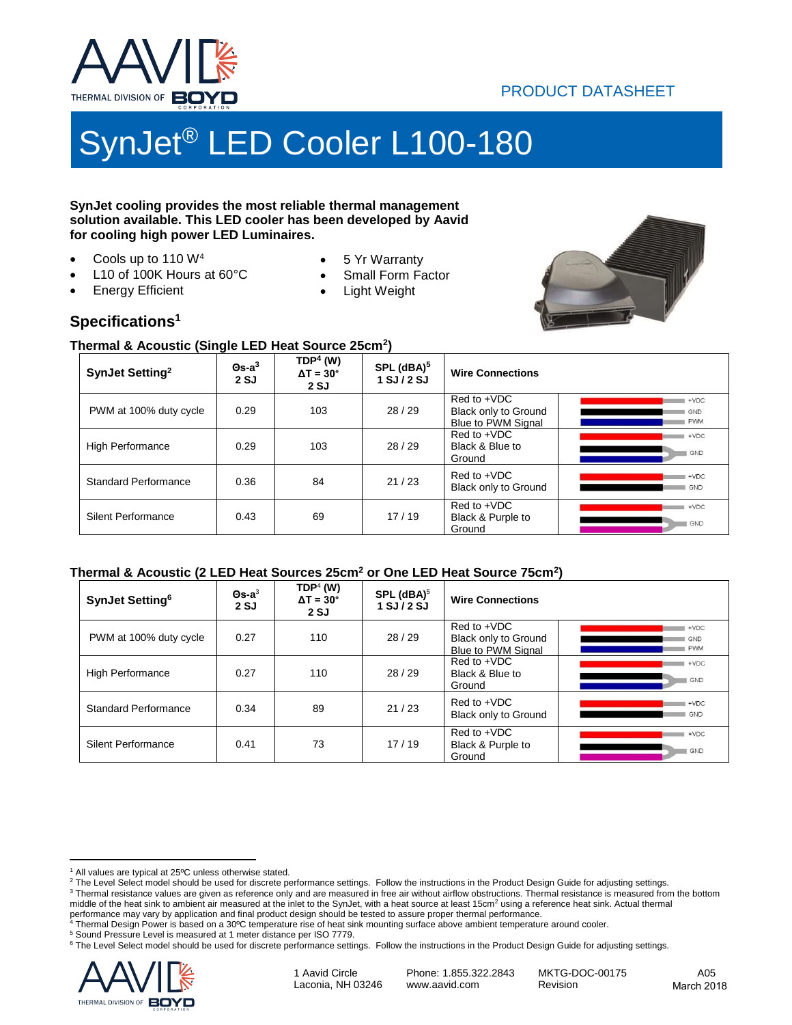

## PRODUCT DATASHEET

# SynJet® LED Cooler L100-180

#### **SynJet cooling provides the most reliable thermal management solution available. This LED cooler has been developed by Aavid for cooling high power LED Luminaires.**

Cools up to 110 W<sup>4</sup>

Energy Efficient

- L10 of 100K Hours at 60°C
- 5 Yr Warranty
- Small Form Factor
- Light Weight



### **Specifications<sup>1</sup>**

#### **Thermal & Acoustic (Single LED Heat Source 25cm<sup>2</sup> )**

| SynJet Setting <sup>2</sup> | - -<br>$\Theta$ s-a $^3$<br>2SJ | $TDP4$ (W)<br>$\Delta T = 30^{\circ}$<br>2 SJ | SPL (dBA) <sup>5</sup><br>$1$ SJ $/$ 2 SJ | <b>Wire Connections</b>                                                                         |
|-----------------------------|---------------------------------|-----------------------------------------------|-------------------------------------------|-------------------------------------------------------------------------------------------------|
| PWM at 100% duty cycle      | 0.29                            | 103                                           | 28/29                                     | Red to +VDC<br>$+VDC$<br>Black only to Ground<br>GND<br><b>PWM</b><br><b>Blue to PWM Signal</b> |
| <b>High Performance</b>     | 0.29                            | 103                                           | 28/29                                     | Red to +VDC<br>$+VDC$<br>Black & Blue to<br>GND<br>Ground                                       |
| <b>Standard Performance</b> | 0.36                            | 84                                            | 21/23                                     | Red to +VDC<br>$+VDC$<br>Black only to Ground<br>GND                                            |
| <b>Silent Performance</b>   | 0.43                            | 69                                            | 17/19                                     | Red to +VDC<br>$+VDC$<br>Black & Purple to<br>GND<br>Ground                                     |

#### **Thermal & Acoustic (2 LED Heat Sources 25cm<sup>2</sup> or One LED Heat Source 75cm<sup>2</sup> )**

| SynJet Setting <sup>6</sup> | $\mathbf{\Theta}$ s-a $^3$<br>2SJ | $\mathsf{TOP}^4$ (W)<br>$\Delta T = 30^\circ$<br>2 SJ | SPL $(dBA)^5$<br>$1$ SJ $/$ 2 SJ | <b>Wire Connections</b>                                            |                                    |
|-----------------------------|-----------------------------------|-------------------------------------------------------|----------------------------------|--------------------------------------------------------------------|------------------------------------|
| PWM at 100% duty cycle      | 0.27                              | 110                                                   | 28/29                            | $Red to +VDC$<br>Black only to Ground<br><b>Blue to PWM Signal</b> | $+VDC$<br><b>GND</b><br><b>PWM</b> |
| <b>High Performance</b>     | 0.27                              | 110                                                   | 28/29                            | Red to +VDC<br>Black & Blue to<br>Ground                           | $+VDC$<br>GND                      |
| Standard Performance        | 0.34                              | 89                                                    | 21/23                            | Red to +VDC<br>Black only to Ground                                | $+VDC$<br>GND                      |
| <b>Silent Performance</b>   | 0.41                              | 73                                                    | 17/19                            | Red to +VDC<br>Black & Purple to<br>Ground                         | $+VDC$<br>GND                      |

<sup>&</sup>lt;sup>6</sup> The Level Select model should be used for discrete performance settings. Follow the instructions in the Product Design Guide for adjusting settings.



Laconia, NH 03246

1 Aavid Circle MKTG-DOC-00175 A05 Phone: 1.855.322.2843 [www.aavid.com](https://www.boydcorp.com/aavid.html) Revision Revision March 2018

<sup>&</sup>lt;sup>1</sup> All values are typical at 25°C unless otherwise stated.

<sup>&</sup>lt;sup>2</sup> The Level Select model should be used for discrete performance settings. Follow the instructions in the Product Design Guide for adjusting settings.

<sup>&</sup>lt;sup>3</sup> Thermal resistance values are given as reference only and are measured in free air without airflow obstructions. Thermal resistance is measured from the bottom middle of the heat sink to ambient air measured at the inlet to the SynJet, with a heat source at least 15cm<sup>2</sup> using a reference heat sink. Actual thermal

performance may vary by application and final product design should be tested to assure proper thermal performance.<br><sup>4</sup> Thermal Design Power is based on a 30ºC temperature rise of heat sink mounting surface above ambient t Thermal Design Power is based on a 30ºC temperature rise of heat sink mounting surface above ambient temperature around cooler.

<sup>5</sup> Sound Pressure Level is measured at 1 meter distance per ISO 7779.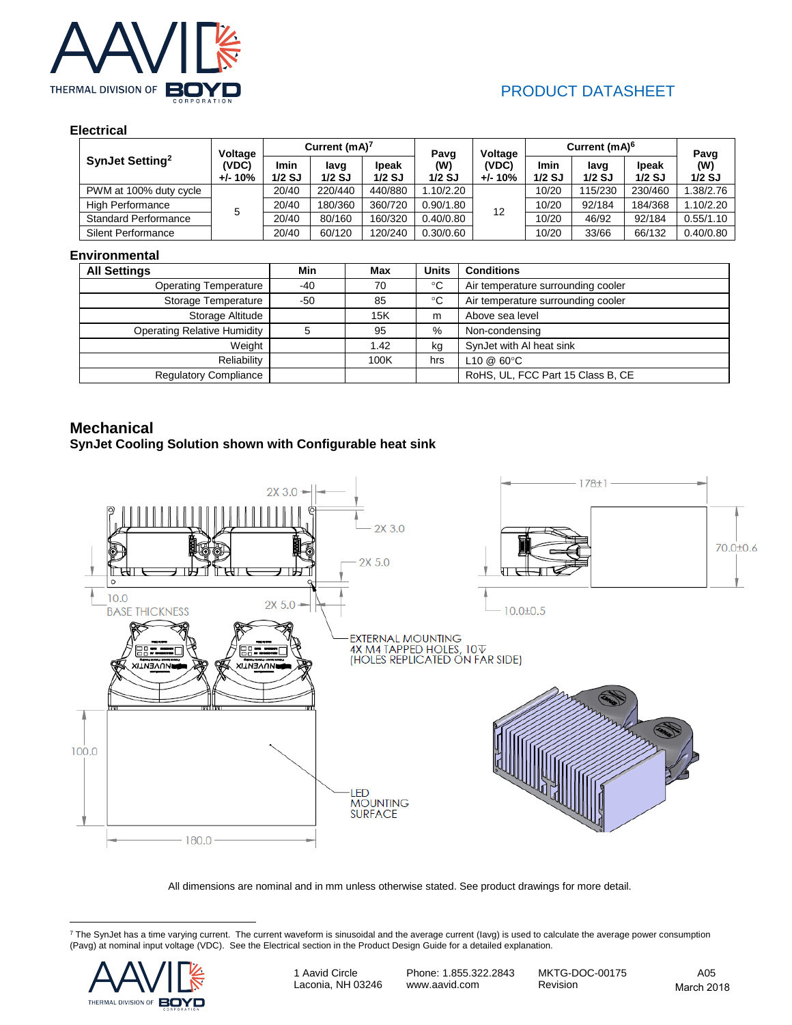

# PRODUCT DATASHEET

#### **Electrical**

|                             | Voltage            | Current $(mA)^7$ |                  | Pavg                      | Voltage         | Current (mA) <sup>6</sup> |                  |                  | Pavg              |                 |
|-----------------------------|--------------------|------------------|------------------|---------------------------|-----------------|---------------------------|------------------|------------------|-------------------|-----------------|
| SynJet Setting <sup>2</sup> | (VDC)<br>$+/- 10%$ | Imin<br>$1/2$ SJ | lavg<br>$1/2$ SJ | <b>I</b> peak<br>$1/2$ SJ | (W)<br>$1/2$ SJ | (VDC)<br>$+/- 10%$        | Imin<br>$1/2$ SJ | lavg<br>$1/2$ SJ | Ipeak<br>$1/2$ SJ | (W)<br>$1/2$ SJ |
| PWM at 100% duty cycle      |                    | 20/40            | 220/440          | 440/880                   | .10/2.20        | 12                        | 10/20            | 115/230          | 230/460           | 1.38/2.76       |
| <b>High Performance</b>     |                    | 20/40            | 180/360          | 360/720                   | 0.90/1.80       |                           | 10/20            | 92/184           | 184/368           | 1.10/2.20       |
| <b>Standard Performance</b> |                    | 20/40            | 80/160           | 160/320                   | 0.40/0.80       |                           | 10/20            | 46/92            | 92/184            | 0.55/1.10       |
| <b>Silent Performance</b>   |                    | 20/40            | 60/120           | 120/240                   | 0.30/0.60       |                           | 10/20            | 33/66            | 66/132            | 0.40/0.80       |

#### **Environmental**

| <b>All Settings</b>                | Min | Max  | <b>Units</b> | <b>Conditions</b>                  |
|------------------------------------|-----|------|--------------|------------------------------------|
| <b>Operating Temperature</b>       | -40 | 70   | $^{\circ}C$  | Air temperature surrounding cooler |
| Storage Temperature                | -50 | 85   | $^{\circ}C$  | Air temperature surrounding cooler |
| Storage Altitude                   |     | 15K  | m            | Above sea level                    |
| <b>Operating Relative Humidity</b> |     | 95   | $\%$         | Non-condensing                     |
| Weight                             |     | 1.42 | kg           | SynJet with AI heat sink           |
| Reliability                        |     | 100K | hrs          | L10 @ 60°C                         |
| <b>Regulatory Compliance</b>       |     |      |              | RoHS, UL, FCC Part 15 Class B, CE  |

#### **Mechanical**

#### **SynJet Cooling Solution shown with Configurable heat sink**



All dimensions are nominal and in mm unless otherwise stated. See product drawings for more detail.

 $^7$  The SynJet has a time varying current. The current waveform is sinusoidal and the average current (lavg) is used to calculate the average power consumption (Pavg) at nominal input voltage (VDC). See the Electrical section in the Product Design Guide for a detailed explanation.